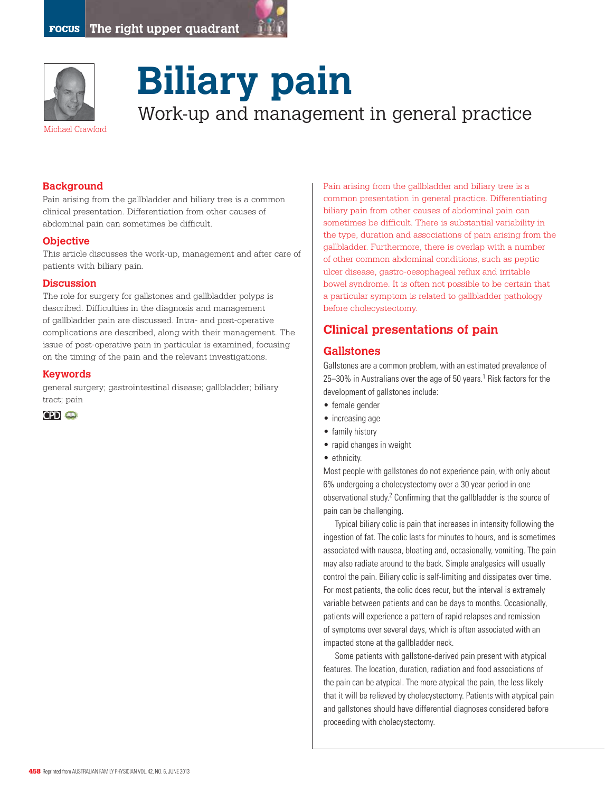



# **Biliary pain** Work-up and management in general practice

#### **Background**

Pain arising from the gallbladder and biliary tree is a common clinical presentation. Differentiation from other causes of abdominal pain can sometimes be difficult.

#### **Objective**

This article discusses the work-up, management and after care of patients with biliary pain.

#### **Discussion**

The role for surgery for gallstones and gallbladder polyps is described. Difficulties in the diagnosis and management of gallbladder pain are discussed. Intra- and post-operative complications are described, along with their management. The issue of post-operative pain in particular is examined, focusing on the timing of the pain and the relevant investigations.

#### **Keywords**

general surgery; gastrointestinal disease; gallbladder; biliary tract; pain



Pain arising from the gallbladder and biliary tree is a common presentation in general practice. Differentiating biliary pain from other causes of abdominal pain can sometimes be difficult. There is substantial variability in the type, duration and associations of pain arising from the gallbladder. Furthermore, there is overlap with a number of other common abdominal conditions, such as peptic ulcer disease, gastro-oesophageal reflux and irritable bowel syndrome. It is often not possible to be certain that a particular symptom is related to gallbladder pathology before cholecystectomy.

# **Clinical presentations of pain**

#### **Gallstones**

Gallstones are a common problem, with an estimated prevalence of 25–30% in Australians over the age of 50 years.<sup>1</sup> Risk factors for the development of gallstones include:

- • female gender
- increasing age
- family history
- rapid changes in weight
- ethnicity.

Most people with gallstones do not experience pain, with only about 6% undergoing a cholecystectomy over a 30 year period in one observational study.<sup>2</sup> Confirming that the gallbladder is the source of pain can be challenging.

Typical biliary colic is pain that increases in intensity following the ingestion of fat. The colic lasts for minutes to hours, and is sometimes associated with nausea, bloating and, occasionally, vomiting. The pain may also radiate around to the back. Simple analgesics will usually control the pain. Biliary colic is self-limiting and dissipates over time. For most patients, the colic does recur, but the interval is extremely variable between patients and can be days to months. Occasionally, patients will experience a pattern of rapid relapses and remission of symptoms over several days, which is often associated with an impacted stone at the gallbladder neck.

Some patients with gallstone-derived pain present with atypical features. The location, duration, radiation and food associations of the pain can be atypical. The more atypical the pain, the less likely that it will be relieved by cholecystectomy. Patients with atypical pain and gallstones should have differential diagnoses considered before proceeding with cholecystectomy.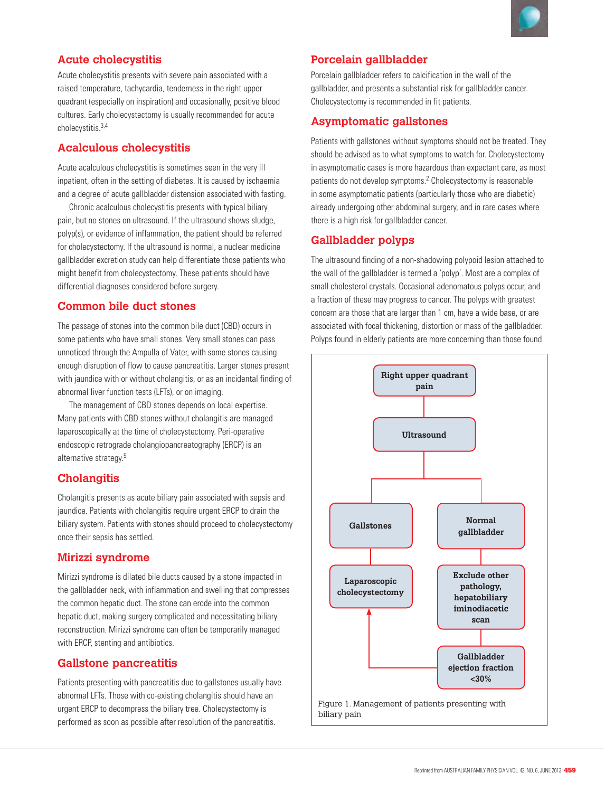# **Acute cholecystitis**

Acute cholecystitis presents with severe pain associated with a raised temperature, tachycardia, tenderness in the right upper quadrant (especially on inspiration) and occasionally, positive blood cultures. Early cholecystectomy is usually recommended for acute cholecystitis.3,4

# **Acalculous cholecystitis**

Acute acalculous cholecystitis is sometimes seen in the very ill inpatient, often in the setting of diabetes. It is caused by ischaemia and a degree of acute gallbladder distension associated with fasting.

Chronic acalculous cholecystitis presents with typical biliary pain, but no stones on ultrasound. If the ultrasound shows sludge, polyp(s), or evidence of inflammation, the patient should be referred for cholecystectomy. If the ultrasound is normal, a nuclear medicine gallbladder excretion study can help differentiate those patients who might benefit from cholecystectomy. These patients should have differential diagnoses considered before surgery.

# **Common bile duct stones**

The passage of stones into the common bile duct (CBD) occurs in some patients who have small stones. Very small stones can pass unnoticed through the Ampulla of Vater, with some stones causing enough disruption of flow to cause pancreatitis. Larger stones present with jaundice with or without cholangitis, or as an incidental finding of abnormal liver function tests (LFTs), or on imaging.

The management of CBD stones depends on local expertise. Many patients with CBD stones without cholangitis are managed laparoscopically at the time of cholecystectomy. Peri-operative endoscopic retrograde cholangiopancreatography (ERCP) is an alternative strategy.5

# **Cholangitis**

Cholangitis presents as acute biliary pain associated with sepsis and jaundice. Patients with cholangitis require urgent ERCP to drain the biliary system. Patients with stones should proceed to cholecystectomy once their sepsis has settled.

# **Mirizzi syndrome**

Mirizzi syndrome is dilated bile ducts caused by a stone impacted in the gallbladder neck, with inflammation and swelling that compresses the common hepatic duct. The stone can erode into the common hepatic duct, making surgery complicated and necessitating biliary reconstruction. Mirizzi syndrome can often be temporarily managed with ERCP, stenting and antibiotics.

# **Gallstone pancreatitis**

Patients presenting with pancreatitis due to gallstones usually have abnormal LFTs. Those with co-existing cholangitis should have an urgent ERCP to decompress the biliary tree. Cholecystectomy is performed as soon as possible after resolution of the pancreatitis.

# **Porcelain gallbladder**

Porcelain gallbladder refers to calcification in the wall of the gallbladder, and presents a substantial risk for gallbladder cancer. Cholecystectomy is recommended in fit patients.

# **Asymptomatic gallstones**

Patients with gallstones without symptoms should not be treated. They should be advised as to what symptoms to watch for. Cholecystectomy in asymptomatic cases is more hazardous than expectant care, as most patients do not develop symptoms.<sup>2</sup> Cholecystectomy is reasonable in some asymptomatic patients (particularly those who are diabetic) already undergoing other abdominal surgery, and in rare cases where there is a high risk for gallbladder cancer.

# **Gallbladder polyps**

The ultrasound finding of a non-shadowing polypoid lesion attached to the wall of the gallbladder is termed a 'polyp'. Most are a complex of small cholesterol crystals. Occasional adenomatous polyps occur, and a fraction of these may progress to cancer. The polyps with greatest concern are those that are larger than 1 cm, have a wide base, or are associated with focal thickening, distortion or mass of the gallbladder. Polyps found in elderly patients are more concerning than those found

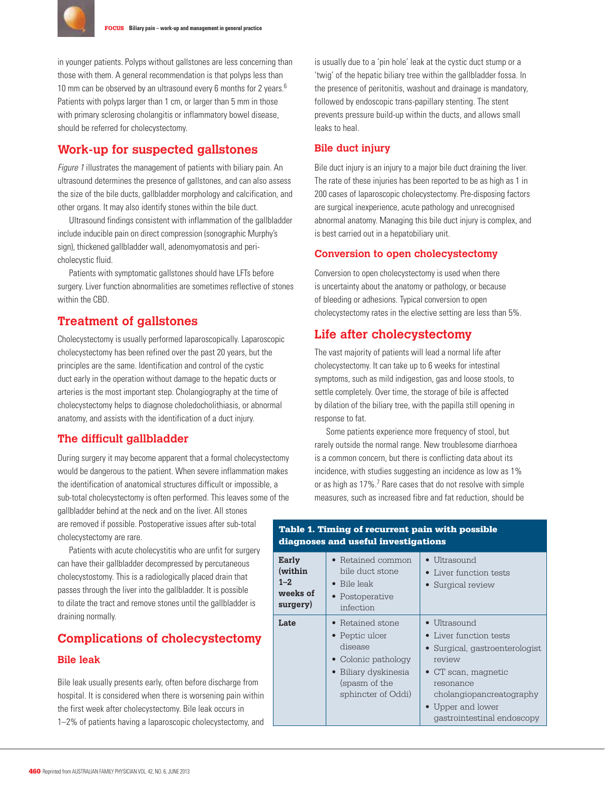

in younger patients. Polyps without gallstones are less concerning than those with them. A general recommendation is that polyps less than 10 mm can be observed by an ultrasound every 6 months for 2 years.<sup>6</sup> Patients with polyps larger than 1 cm, or larger than 5 mm in those with primary sclerosing cholangitis or inflammatory bowel disease, should be referred for cholecystectomy.

# **Work-up for suspected gallstones**

Figure 1 illustrates the management of patients with biliary pain. An ultrasound determines the presence of gallstones, and can also assess the size of the bile ducts, gallbladder morphology and calcification, and other organs. It may also identify stones within the bile duct.

Ultrasound findings consistent with inflammation of the gallbladder include inducible pain on direct compression (sonographic Murphy's sign), thickened gallbladder wall, adenomyomatosis and pericholecystic fluid.

Patients with symptomatic gallstones should have LFTs before surgery. Liver function abnormalities are sometimes reflective of stones within the CBD.

# **Treatment of gallstones**

Cholecystectomy is usually performed laparoscopically. Laparoscopic cholecystectomy has been refined over the past 20 years, but the principles are the same. Identification and control of the cystic duct early in the operation without damage to the hepatic ducts or arteries is the most important step. Cholangiography at the time of cholecystectomy helps to diagnose choledocholithiasis, or abnormal anatomy, and assists with the identification of a duct injury.

#### **The difficult gallbladder**

During surgery it may become apparent that a formal cholecystectomy would be dangerous to the patient. When severe inflammation makes the identification of anatomical structures difficult or impossible, a sub-total cholecystectomy is often performed. This leaves some of the gallbladder behind at the neck and on the liver. All stones are removed if possible. Postoperative issues after sub-total cholecystectomy are rare.

Patients with acute cholecystitis who are unfit for surgery can have their gallbladder decompressed by percutaneous cholecystostomy. This is a radiologically placed drain that passes through the liver into the gallbladder. It is possible to dilate the tract and remove stones until the gallbladder is draining normally.

# **Complications of cholecystectomy**

#### **Bile leak**

Bile leak usually presents early, often before discharge from hospital. It is considered when there is worsening pain within the first week after cholecystectomy. Bile leak occurs in 1–2% of patients having a laparoscopic cholecystectomy, and

is usually due to a 'pin hole' leak at the cystic duct stump or a 'twig' of the hepatic biliary tree within the gallbladder fossa. In the presence of peritonitis, washout and drainage is mandatory, followed by endoscopic trans-papillary stenting. The stent prevents pressure build-up within the ducts, and allows small leaks to heal.

#### **Bile duct injury**

Bile duct injury is an injury to a major bile duct draining the liver. The rate of these injuries has been reported to be as high as 1 in 200 cases of laparoscopic cholecystectomy. Pre-disposing factors are surgical inexperience, acute pathology and unrecognised abnormal anatomy. Managing this bile duct injury is complex, and is best carried out in a hepatobiliary unit.

#### **Conversion to open cholecystectomy**

Conversion to open cholecystectomy is used when there is uncertainty about the anatomy or pathology, or because of bleeding or adhesions. Typical conversion to open cholecystectomy rates in the elective setting are less than 5%.

### **Life after cholecystectomy**

The vast majority of patients will lead a normal life after cholecystectomy. It can take up to 6 weeks for intestinal symptoms, such as mild indigestion, gas and loose stools, to settle completely. Over time, the storage of bile is affected by dilation of the biliary tree, with the papilla still opening in response to fat.

Some patients experience more frequency of stool, but rarely outside the normal range. New troublesome diarrhoea is a common concern, but there is conflicting data about its incidence, with studies suggesting an incidence as low as 1% or as high as 17%.<sup>7</sup> Rare cases that do not resolve with simple measures, such as increased fibre and fat reduction, should be

| Early<br>(within<br>$1 - 2.$<br>weeks of<br>surgery) | • Retained common<br>bile duct stone<br>$\bullet$ Bile leak<br>• Postoperative<br>infection                                                 | $\bullet$ Ultrasound<br>• Liver function tests<br>• Surgical review                                                                                                                                                   |
|------------------------------------------------------|---------------------------------------------------------------------------------------------------------------------------------------------|-----------------------------------------------------------------------------------------------------------------------------------------------------------------------------------------------------------------------|
| Late                                                 | $\bullet$ Retained stone<br>• Peptic ulcer<br>disease<br>• Colonic pathology<br>• Biliary dyskinesia<br>(spasm of the<br>sphincter of Oddi) | $\bullet$ Ultrasound<br>• Liver function tests<br>• Surgical, gastroenterologist<br>review<br>$\bullet$ CT scan, magnetic<br>resonance<br>cholangiopancreatography<br>• Upper and lower<br>gastrointestinal endoscopy |

#### Table 1. Timing of recurrent pain with possible diagnoses and useful investigations